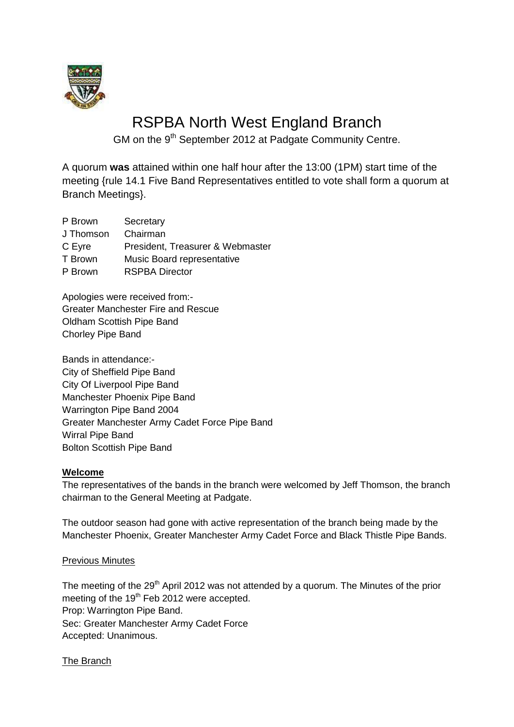

# RSPBA North West England Branch

GM on the 9<sup>th</sup> September 2012 at Padgate Community Centre.

A quorum **was** attained within one half hour after the 13:00 (1PM) start time of the meeting {rule 14.1 Five Band Representatives entitled to vote shall form a quorum at Branch Meetings}.

| P Brown   | Secretary                        |
|-----------|----------------------------------|
| J Thomson | Chairman                         |
| C Eyre    | President, Treasurer & Webmaster |
| T Brown   | Music Board representative       |
| P Brown   | <b>RSPBA Director</b>            |
|           |                                  |

Apologies were received from:- Greater Manchester Fire and Rescue Oldham Scottish Pipe Band Chorley Pipe Band

Bands in attendance:- City of Sheffield Pipe Band City Of Liverpool Pipe Band Manchester Phoenix Pipe Band Warrington Pipe Band 2004 Greater Manchester Army Cadet Force Pipe Band Wirral Pipe Band Bolton Scottish Pipe Band

# **Welcome**

The representatives of the bands in the branch were welcomed by Jeff Thomson, the branch chairman to the General Meeting at Padgate.

The outdoor season had gone with active representation of the branch being made by the Manchester Phoenix, Greater Manchester Army Cadet Force and Black Thistle Pipe Bands.

# Previous Minutes

The meeting of the  $29<sup>th</sup>$  April 2012 was not attended by a quorum. The Minutes of the prior meeting of the 19<sup>th</sup> Feb 2012 were accepted. Prop: Warrington Pipe Band. Sec: Greater Manchester Army Cadet Force Accepted: Unanimous.

The Branch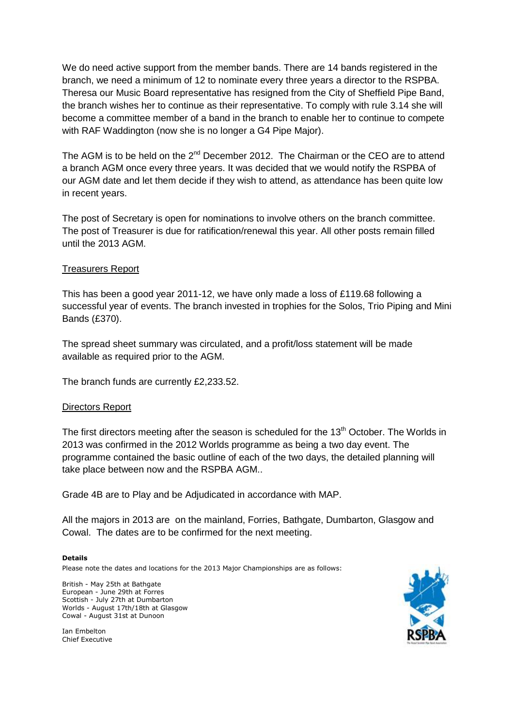We do need active support from the member bands. There are 14 bands registered in the branch, we need a minimum of 12 to nominate every three years a director to the RSPBA. Theresa our Music Board representative has resigned from the City of Sheffield Pipe Band, the branch wishes her to continue as their representative. To comply with rule 3.14 she will become a committee member of a band in the branch to enable her to continue to compete with RAF Waddington (now she is no longer a G4 Pipe Major).

The AGM is to be held on the  $2^{nd}$  December 2012. The Chairman or the CEO are to attend a branch AGM once every three years. It was decided that we would notify the RSPBA of our AGM date and let them decide if they wish to attend, as attendance has been quite low in recent years.

The post of Secretary is open for nominations to involve others on the branch committee. The post of Treasurer is due for ratification/renewal this year. All other posts remain filled until the 2013 AGM.

## Treasurers Report

This has been a good year 2011-12, we have only made a loss of £119.68 following a successful year of events. The branch invested in trophies for the Solos, Trio Piping and Mini Bands (£370).

The spread sheet summary was circulated, and a profit/loss statement will be made available as required prior to the AGM.

The branch funds are currently £2,233.52.

# Directors Report

The first directors meeting after the season is scheduled for the 13<sup>th</sup> October. The Worlds in 2013 was confirmed in the 2012 Worlds programme as being a two day event. The programme contained the basic outline of each of the two days, the detailed planning will take place between now and the RSPBA AGM..

Grade 4B are to Play and be Adjudicated in accordance with MAP.

All the majors in 2013 are on the mainland, Forries, Bathgate, Dumbarton, Glasgow and Cowal. The dates are to be confirmed for the next meeting.

#### **Details**

Please note the dates and locations for the 2013 Major Championships are as follows:

British - May 25th at Bathgate European - June 29th at Forres Scottish - July 27th at Dumbarton Worlds - August 17th/18th at Glasgow Cowal - August 31st at Dunoon

Ian Embelton Chief Executive

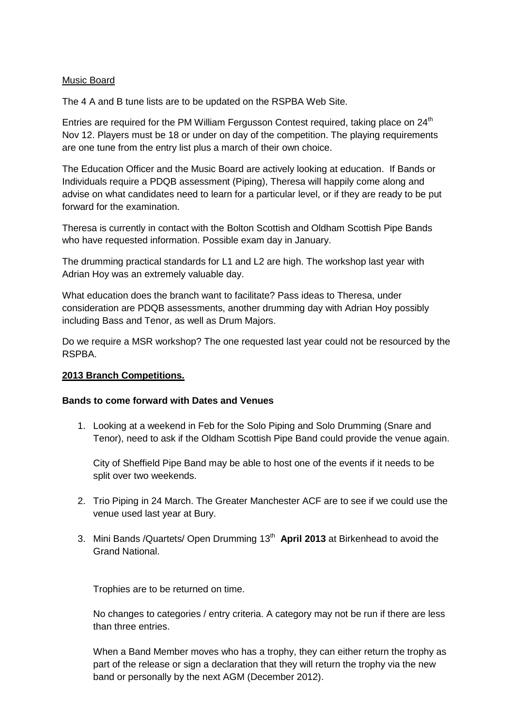# Music Board

The 4 A and B tune lists are to be updated on the RSPBA Web Site.

Entries are required for the PM William Fergusson Contest required, taking place on 24<sup>th</sup> Nov 12. Players must be 18 or under on day of the competition. The playing requirements are one tune from the entry list plus a march of their own choice.

The Education Officer and the Music Board are actively looking at education. If Bands or Individuals require a PDQB assessment (Piping), Theresa will happily come along and advise on what candidates need to learn for a particular level, or if they are ready to be put forward for the examination.

Theresa is currently in contact with the Bolton Scottish and Oldham Scottish Pipe Bands who have requested information. Possible exam day in January.

The drumming practical standards for L1 and L2 are high. The workshop last year with Adrian Hoy was an extremely valuable day.

What education does the branch want to facilitate? Pass ideas to Theresa, under consideration are PDQB assessments, another drumming day with Adrian Hoy possibly including Bass and Tenor, as well as Drum Majors.

Do we require a MSR workshop? The one requested last year could not be resourced by the RSPBA.

## **2013 Branch Competitions.**

## **Bands to come forward with Dates and Venues**

1. Looking at a weekend in Feb for the Solo Piping and Solo Drumming (Snare and Tenor), need to ask if the Oldham Scottish Pipe Band could provide the venue again.

City of Sheffield Pipe Band may be able to host one of the events if it needs to be split over two weekends.

- 2. Trio Piping in 24 March. The Greater Manchester ACF are to see if we could use the venue used last year at Bury.
- 3. Mini Bands /Quartets/ Open Drumming 13th **April 2013** at Birkenhead to avoid the Grand National.

Trophies are to be returned on time.

No changes to categories / entry criteria. A category may not be run if there are less than three entries.

When a Band Member moves who has a trophy, they can either return the trophy as part of the release or sign a declaration that they will return the trophy via the new band or personally by the next AGM (December 2012).